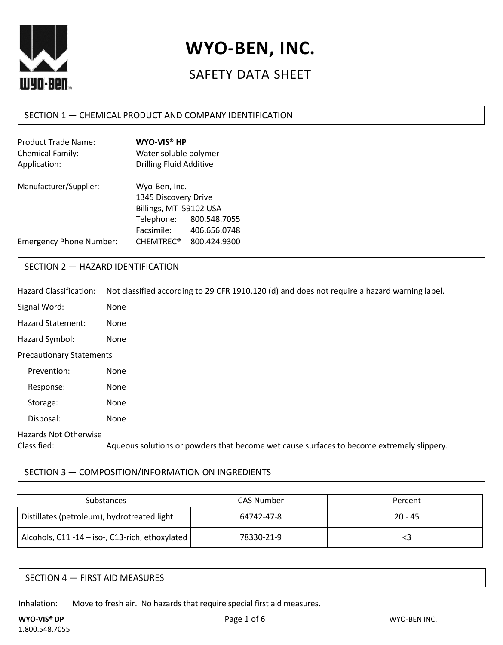

# **WYO-BEN, INC.**

# SAFETY DATA SHEET

# SECTION 1 — CHEMICAL PRODUCT AND COMPANY IDENTIFICATION

| <b>Product Trade Name:</b>     | WYO-VIS <sup>®</sup> HP        |              |
|--------------------------------|--------------------------------|--------------|
| Chemical Family:               | Water soluble polymer          |              |
| Application:                   | <b>Drilling Fluid Additive</b> |              |
| Manufacturer/Supplier:         | Wyo-Ben, Inc.                  |              |
|                                | 1345 Discovery Drive           |              |
|                                | Billings, MT 59102 USA         |              |
|                                | Telephone:                     | 800.548.7055 |
|                                | Facsimile:                     | 406.656.0748 |
| <b>Emergency Phone Number:</b> | <b>CHEMTREC<sup>®</sup></b>    | 800.424.9300 |

# SECTION 2 — HAZARD IDENTIFICATION

| Hazard Classification:               | Not classified according to 29 CFR 1910.120 (d) and does not require a hazard warning label. |
|--------------------------------------|----------------------------------------------------------------------------------------------|
| Signal Word:                         | None                                                                                         |
| <b>Hazard Statement:</b>             | <b>None</b>                                                                                  |
| Hazard Symbol:                       | None                                                                                         |
| <b>Precautionary Statements</b>      |                                                                                              |
| Prevention:                          | <b>None</b>                                                                                  |
| Response:                            | None                                                                                         |
| Storage:                             | None                                                                                         |
| Disposal:                            | None                                                                                         |
| Hazards Not Otherwise<br>Classified: | Aqueous solutions or powders that become wet cause surfaces to become extremely slippery.    |

# SECTION 3 — COMPOSITION/INFORMATION ON INGREDIENTS

| Substances                                      | <b>CAS Number</b> | Percent   |
|-------------------------------------------------|-------------------|-----------|
| Distillates (petroleum), hydrotreated light     | 64742-47-8        | $20 - 45$ |
| Alcohols, C11 -14 - iso-, C13-rich, ethoxylated | 78330-21-9        |           |

| SECTION 4 — FIRST AID MEASURES |  |
|--------------------------------|--|
|--------------------------------|--|

Inhalation: Move to fresh air. No hazards that require special first aid measures.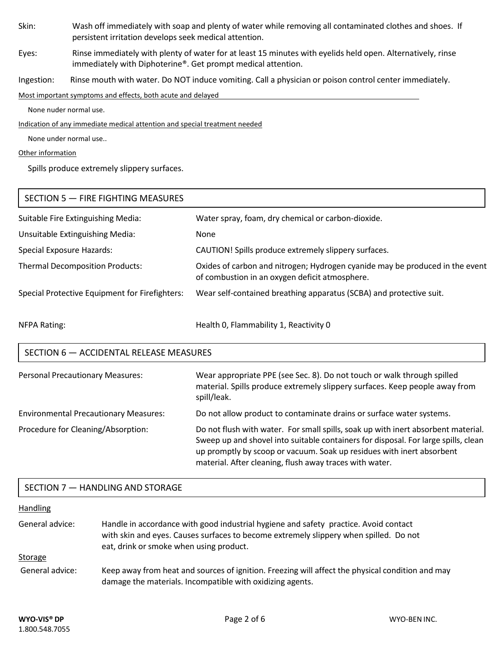Skin: Wash off immediately with soap and plenty of water while removing all contaminated clothes and shoes. If persistent irritation develops seek medical attention.

Eyes: Rinse immediately with plenty of water for at least 15 minutes with eyelids held open. Alternatively, rinse immediately with Diphoterine®. Get prompt medical attention.

Ingestion: Rinse mouth with water. Do NOT induce vomiting. Call a physician or poison control center immediately.

Most important symptoms and effects, both acute and delayed

None nuder normal use.

Indication of any immediate medical attention and special treatment needed

None under normal use..

#### Other information

Spills produce extremely slippery surfaces.

| SECTION 5 - FIRE FIGHTING MEASURES             |                                                                                                                                |
|------------------------------------------------|--------------------------------------------------------------------------------------------------------------------------------|
| Suitable Fire Extinguishing Media:             | Water spray, foam, dry chemical or carbon-dioxide.                                                                             |
| Unsuitable Extinguishing Media:                | <b>None</b>                                                                                                                    |
| <b>Special Exposure Hazards:</b>               | CAUTION! Spills produce extremely slippery surfaces.                                                                           |
| <b>Thermal Decomposition Products:</b>         | Oxides of carbon and nitrogen; Hydrogen cyanide may be produced in the event<br>of combustion in an oxygen deficit atmosphere. |
| Special Protective Equipment for Firefighters: | Wear self-contained breathing apparatus (SCBA) and protective suit.                                                            |
| <b>NFPA Rating:</b>                            | Health 0, Flammability 1, Reactivity 0                                                                                         |

# SECTION 6 — ACCIDENTAL RELEASE MEASURES

| <b>Personal Precautionary Measures:</b>      | Wear appropriate PPE (see Sec. 8). Do not touch or walk through spilled<br>material. Spills produce extremely slippery surfaces. Keep people away from<br>spill/leak.                                                                            |
|----------------------------------------------|--------------------------------------------------------------------------------------------------------------------------------------------------------------------------------------------------------------------------------------------------|
| <b>Environmental Precautionary Measures:</b> | Do not allow product to contaminate drains or surface water systems.                                                                                                                                                                             |
| Procedure for Cleaning/Absorption:           | Do not flush with water. For small spills, soak up with inert absorbent material.<br>Sweep up and shovel into suitable containers for disposal. For large spills, clean<br>up promptly by scoop or vacuum. Soak up residues with inert absorbent |

material. After cleaning, flush away traces with water.

#### SECTION 7 — HANDLING AND STORAGE

# Handling General advice: Handle in accordance with good industrial hygiene and safety practice. Avoid contact with skin and eyes. Causes surfaces to become extremely slippery when spilled. Do not eat, drink or smoke when using product. Storage General advice: Keep away from heat and sources of ignition. Freezing will affect the physical condition and may damage the materials. Incompatible with oxidizing agents.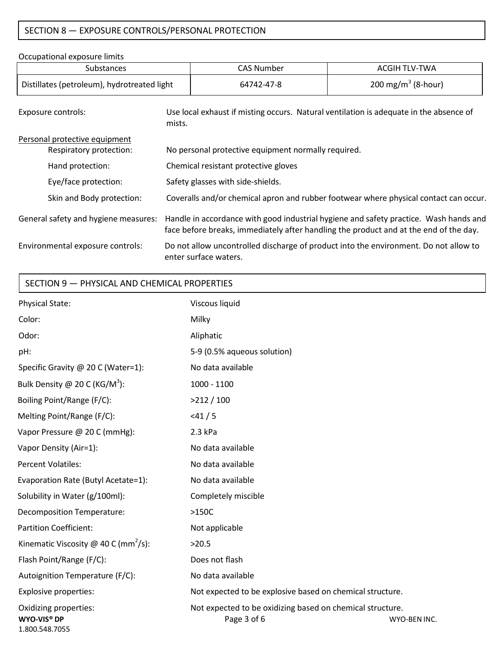# SECTION 8 — EXPOSURE CONTROLS/PERSONAL PROTECTION

Occupational exposure limits

| occupational cyposure illints                            |                                                                                                  |                                                     |                                                                                                                                                                                |
|----------------------------------------------------------|--------------------------------------------------------------------------------------------------|-----------------------------------------------------|--------------------------------------------------------------------------------------------------------------------------------------------------------------------------------|
| Substances                                               |                                                                                                  | <b>CAS Number</b>                                   | <b>ACGIH TLV-TWA</b>                                                                                                                                                           |
| Distillates (petroleum), hydrotreated light              |                                                                                                  | 64742-47-8                                          | 200 mg/m <sup>3</sup> (8-hour)                                                                                                                                                 |
| Exposure controls:                                       | Use local exhaust if misting occurs. Natural ventilation is adequate in the absence of<br>mists. |                                                     |                                                                                                                                                                                |
| Personal protective equipment<br>Respiratory protection: |                                                                                                  | No personal protective equipment normally required. |                                                                                                                                                                                |
| Hand protection:                                         | Chemical resistant protective gloves                                                             |                                                     |                                                                                                                                                                                |
| Eye/face protection:                                     | Safety glasses with side-shields.                                                                |                                                     |                                                                                                                                                                                |
| Skin and Body protection:                                | Coveralls and/or chemical apron and rubber footwear where physical contact can occur.            |                                                     |                                                                                                                                                                                |
| General safety and hygiene measures:                     |                                                                                                  |                                                     | Handle in accordance with good industrial hygiene and safety practice. Wash hands and<br>face before breaks, immediately after handling the product and at the end of the day. |
| Environmental exposure controls:                         | Do not allow uncontrolled discharge of product into the environment. Do not allow to             |                                                     |                                                                                                                                                                                |

enter surface waters.

### SECTION 9 — PHYSICAL AND CHEMICAL PROPERTIES

| Physical State:                                               | Viscous liquid                                                                           |  |
|---------------------------------------------------------------|------------------------------------------------------------------------------------------|--|
| Color:                                                        | Milky                                                                                    |  |
| Odor:                                                         | Aliphatic                                                                                |  |
| pH:                                                           | 5-9 (0.5% aqueous solution)                                                              |  |
| Specific Gravity @ 20 C (Water=1):                            | No data available                                                                        |  |
| Bulk Density @ 20 C (KG/M <sup>3</sup> ):                     | $1000 - 1100$                                                                            |  |
| Boiling Point/Range (F/C):                                    | >212/100                                                                                 |  |
| Melting Point/Range (F/C):                                    | < 41 / 5                                                                                 |  |
| Vapor Pressure @ 20 C (mmHg):                                 | $2.3$ kPa                                                                                |  |
| Vapor Density (Air=1):                                        | No data available                                                                        |  |
| <b>Percent Volatiles:</b>                                     | No data available                                                                        |  |
| Evaporation Rate (Butyl Acetate=1):                           | No data available                                                                        |  |
| Solubility in Water (g/100ml):                                | Completely miscible                                                                      |  |
| <b>Decomposition Temperature:</b>                             | $>150C$                                                                                  |  |
| <b>Partition Coefficient:</b>                                 | Not applicable                                                                           |  |
| Kinematic Viscosity @ 40 C (mm <sup>2</sup> /s):              | >20.5                                                                                    |  |
| Flash Point/Range (F/C):                                      | Does not flash                                                                           |  |
| Autoignition Temperature (F/C):                               | No data available                                                                        |  |
| Explosive properties:                                         | Not expected to be explosive based on chemical structure.                                |  |
| Oxidizing properties:<br><b>WYO-VIS® DP</b><br>1.800.548.7055 | Not expected to be oxidizing based on chemical structure.<br>Page 3 of 6<br>WYO-BEN INC. |  |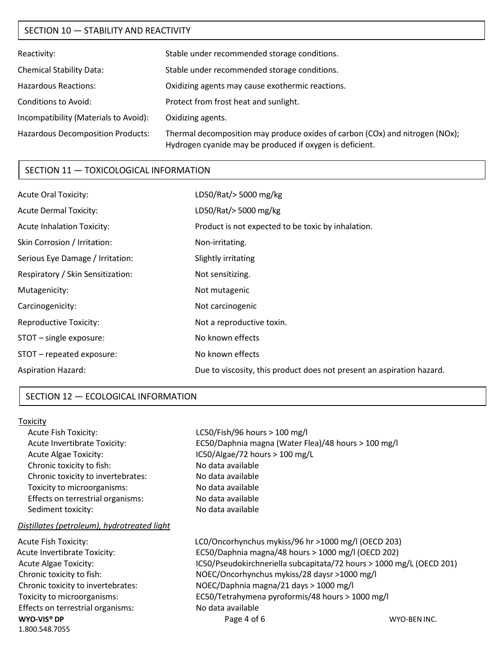# SECTION 10 — STABILITY AND REACTIVITY

| Reactivity:                              | Stable under recommended storage conditions.                                                                                             |
|------------------------------------------|------------------------------------------------------------------------------------------------------------------------------------------|
| <b>Chemical Stability Data:</b>          | Stable under recommended storage conditions.                                                                                             |
| <b>Hazardous Reactions:</b>              | Oxidizing agents may cause exothermic reactions.                                                                                         |
| <b>Conditions to Avoid:</b>              | Protect from frost heat and sunlight.                                                                                                    |
| Incompatibility (Materials to Avoid):    | Oxidizing agents.                                                                                                                        |
| <b>Hazardous Decomposition Products:</b> | Thermal decomposition may produce oxides of carbon (COx) and nitrogen (NOx);<br>Hydrogen cyanide may be produced if oxygen is deficient. |

#### SECTION 11 — TOXICOLOGICAL INFORMATION

| LD50/Rat/> 5000 mg/kg                                                 |
|-----------------------------------------------------------------------|
| LD50/Rat/>5000 mg/kg                                                  |
| Product is not expected to be toxic by inhalation.                    |
| Non-irritating.                                                       |
| Slightly irritating                                                   |
| Not sensitizing.                                                      |
| Not mutagenic                                                         |
| Not carcinogenic                                                      |
| Not a reproductive toxin.                                             |
| No known effects                                                      |
| No known effects                                                      |
| Due to viscosity, this product does not present an aspiration hazard. |
|                                                                       |

#### SECTION 12 — ECOLOGICAL INFORMATION

#### Toxicity

Acute Fish Toxicity: LC50/Fish/96 hours > 100 mg/l Acute Invertibrate Toxicity: EC50/Daphnia magna (Water Flea)/48 hours > 100 mg/l Acute Algae Toxicity: IC50/Algae/72 hours > 100 mg/L Chronic toxicity to fish: No data available Chronic toxicity to invertebrates: No data available Toxicity to microorganisms: No data available Effects on terrestrial organisms: No data available Sediment toxicity: No data available

#### *Distillates (petroleum), hydrotreated light*

| Acute Fish Toxicity:                      | LC0/Oncorhynchus mykiss/96 hr >1000 mg/l (OECD 203)                  |              |
|-------------------------------------------|----------------------------------------------------------------------|--------------|
| Acute Invertibrate Toxicity:              | EC50/Daphnia magna/48 hours > 1000 mg/l (OECD 202)                   |              |
| <b>Acute Algae Toxicity:</b>              | IC50/Pseudokirchneriella subcapitata/72 hours > 1000 mg/L (OECD 201) |              |
| Chronic toxicity to fish:                 | NOEC/Oncorhynchus mykiss/28 daysr >1000 mg/l                         |              |
| Chronic toxicity to invertebrates:        | NOEC/Daphnia magna/21 days > 1000 mg/l                               |              |
| Toxicity to microorganisms:               | EC50/Tetrahymena pyroformis/48 hours > 1000 mg/l                     |              |
| Effects on terrestrial organisms:         | No data available                                                    |              |
| WYO-VIS <sup>®</sup> DP<br>1.800.548.7055 | Page 4 of 6                                                          | WYO-BEN INC. |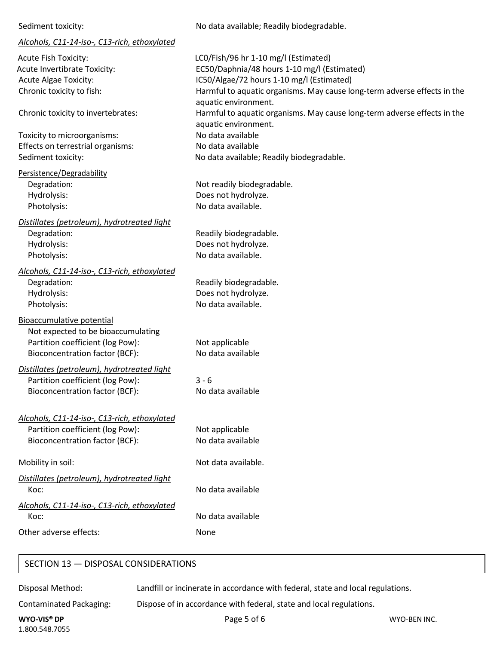| Sediment toxicity:                           | No data available; Readily biodegrada |
|----------------------------------------------|---------------------------------------|
| Alcohols, C11-14-iso-, C13-rich, ethoxylated |                                       |
| Acute Fish Toxicity:                         | LCO/Fish/96 hr 1-10 mg/l (Estimated)  |

Acute Invertibrate Toxicity: EC50/Daphnia/48 hours 1-10 mg/l (Estimated) Acute Algae Toxicity: IC50/Algae/72 hours 1-10 mg/l (Estimated) Chronic toxicity to fish: Harmful to aquatic organisms. May cause long-term adverse effects in the

Chronic toxicity to invertebrates: Harmful to aquatic organisms. May cause long-term adverse effects in the

Toxicity to microorganisms: No data available Effects on terrestrial organisms: No data available Sediment toxicity:  $\blacksquare$  No data available; Readily biodegradable.

Persistence/Degradability Degradation: Not readily biodegradable. Hydrolysis: Does not hydrolyze.

*Distillates (petroleum), hydrotreated light* Degradation: Neadily biodegradable. Hydrolysis: Does not hydrolyze. Photolysis: No data available.

Photolysis: No data available.

*Alcohols, C11-14-iso-, C13-rich, ethoxylated* Degradation: Neadily biodegradable. Hydrolysis: Does not hydrolyze. Photolysis: No data available.

Bioaccumulative potential Not expected to be bioaccumulating Partition coefficient (log Pow): Not applicable Bioconcentration factor (BCF): No data available

*Distillates (petroleum), hydrotreated light* Partition coefficient (log Pow): 3 - 6 Bioconcentration factor (BCF): No data available

*Alcohols, C11-14-iso-, C13-rich, ethoxylated* Partition coefficient (log Pow): Not applicable Bioconcentration factor (BCF): No data available

Mobility in soil: Not data available.

*Distillates (petroleum), hydrotreated light* Koc: No data available

*Alcohols, C11-14-iso-, C13-rich, ethoxylated* Koc: No data available

Other adverse effects: None

SECTION 13 — DISPOSAL CONSIDERATIONS

Disposal Method: Landfill or incinerate in accordance with federal, state and local regulations.

No data available; Readily biodegradable.

aquatic environment.

aquatic environment.

Contaminated Packaging: Dispose of in accordance with federal, state and local regulations.

**WYO-VIS® DP** Page 5 of 6 1.800.548.7055